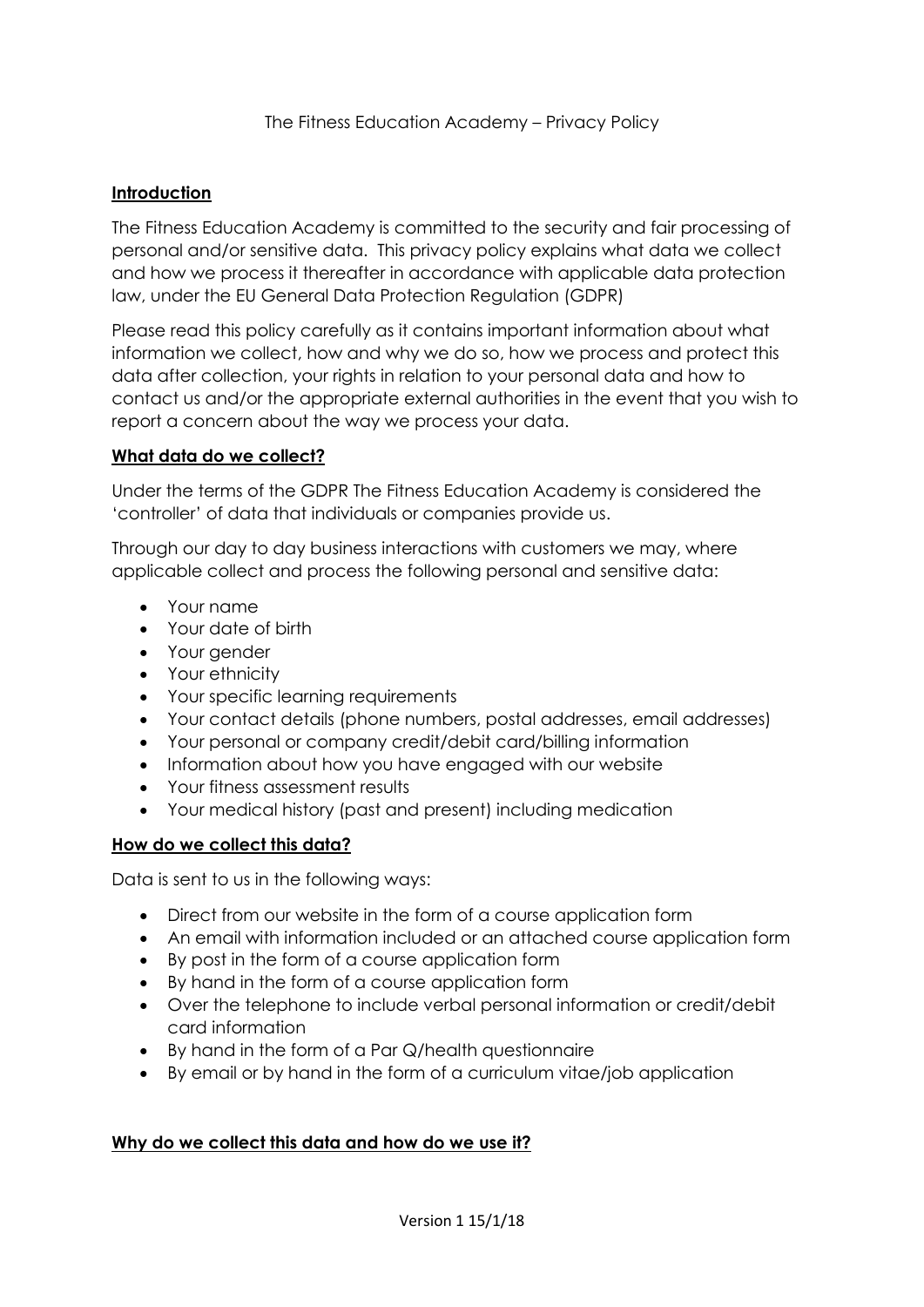### **Introduction**

The Fitness Education Academy is committed to the security and fair processing of personal and/or sensitive data. This privacy policy explains what data we collect and how we process it thereafter in accordance with applicable data protection law, under the EU General Data Protection Regulation (GDPR)

Please read this policy carefully as it contains important information about what information we collect, how and why we do so, how we process and protect this data after collection, your rights in relation to your personal data and how to contact us and/or the appropriate external authorities in the event that you wish to report a concern about the way we process your data.

#### **What data do we collect?**

Under the terms of the GDPR The Fitness Education Academy is considered the 'controller' of data that individuals or companies provide us.

Through our day to day business interactions with customers we may, where applicable collect and process the following personal and sensitive data:

- Your name
- Your date of birth
- Your gender
- Your ethnicity
- Your specific learning requirements
- Your contact details (phone numbers, postal addresses, email addresses)
- Your personal or company credit/debit card/billing information
- Information about how you have engaged with our website
- Your fitness assessment results
- Your medical history (past and present) including medication

### **How do we collect this data?**

Data is sent to us in the following ways:

- Direct from our website in the form of a course application form
- An email with information included or an attached course application form
- By post in the form of a course application form
- By hand in the form of a course application form
- Over the telephone to include verbal personal information or credit/debit card information
- By hand in the form of a Par Q/health questionnaire
- By email or by hand in the form of a curriculum vitae/job application

### **Why do we collect this data and how do we use it?**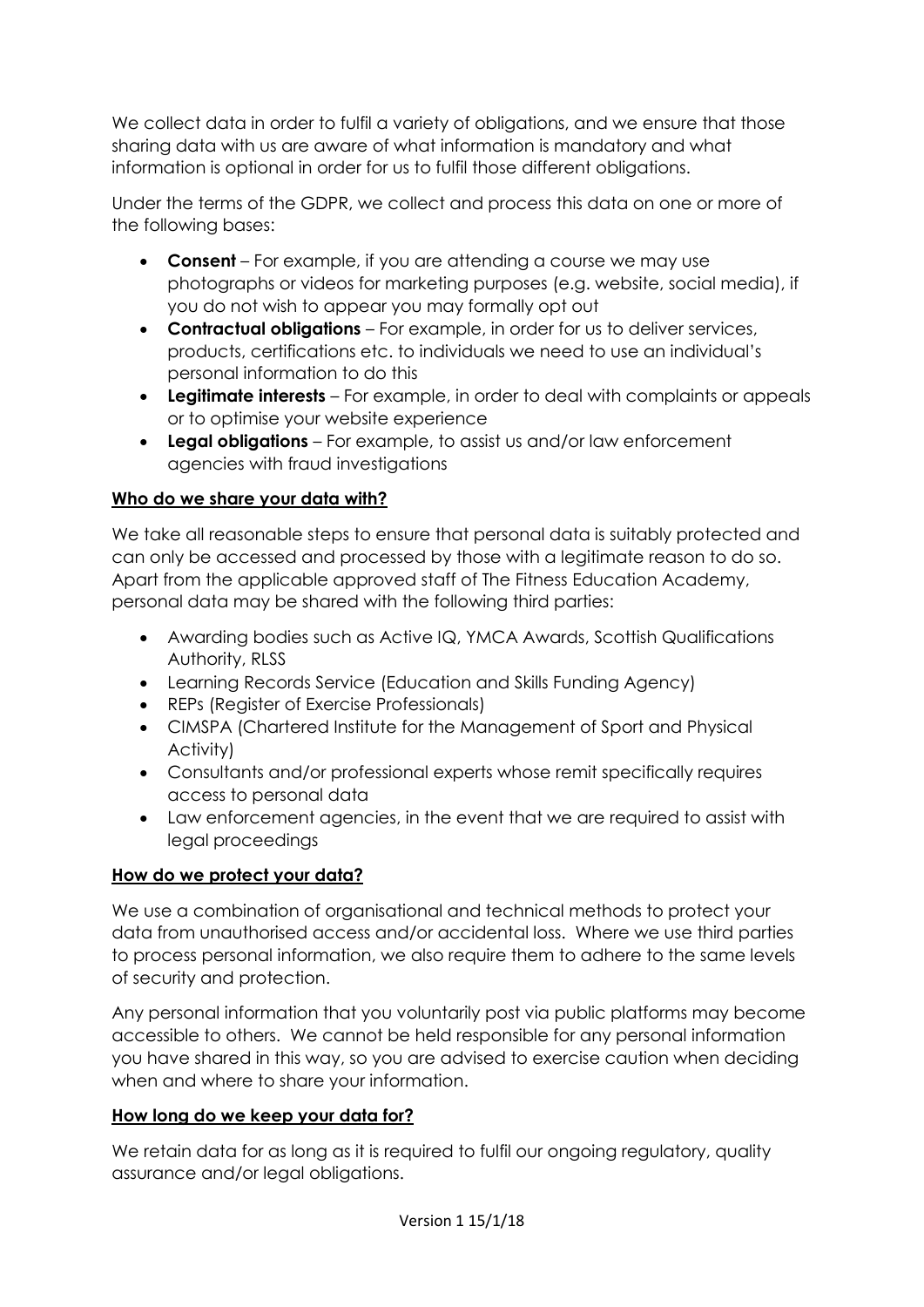We collect data in order to fulfil a variety of obligations, and we ensure that those sharing data with us are aware of what information is mandatory and what information is optional in order for us to fulfil those different obligations.

Under the terms of the GDPR, we collect and process this data on one or more of the following bases:

- **Consent** For example, if you are attending a course we may use photographs or videos for marketing purposes (e.g. website, social media), if you do not wish to appear you may formally opt out
- **Contractual obligations** For example, in order for us to deliver services, products, certifications etc. to individuals we need to use an individual's personal information to do this
- **Legitimate interests**  For example, in order to deal with complaints or appeals or to optimise your website experience
- **Legal obligations**  For example, to assist us and/or law enforcement agencies with fraud investigations

## **Who do we share your data with?**

We take all reasonable steps to ensure that personal data is suitably protected and can only be accessed and processed by those with a legitimate reason to do so. Apart from the applicable approved staff of The Fitness Education Academy, personal data may be shared with the following third parties:

- Awarding bodies such as Active IQ, YMCA Awards, Scottish Qualifications Authority, RLSS
- Learning Records Service (Education and Skills Funding Agency)
- REPs (Register of Exercise Professionals)
- CIMSPA (Chartered Institute for the Management of Sport and Physical Activity)
- Consultants and/or professional experts whose remit specifically requires access to personal data
- Law enforcement agencies, in the event that we are required to assist with legal proceedings

# **How do we protect your data?**

We use a combination of organisational and technical methods to protect your data from unauthorised access and/or accidental loss. Where we use third parties to process personal information, we also require them to adhere to the same levels of security and protection.

Any personal information that you voluntarily post via public platforms may become accessible to others. We cannot be held responsible for any personal information you have shared in this way, so you are advised to exercise caution when deciding when and where to share your information.

### **How long do we keep your data for?**

We retain data for as long as it is required to fulfil our ongoing regulatory, quality assurance and/or legal obligations.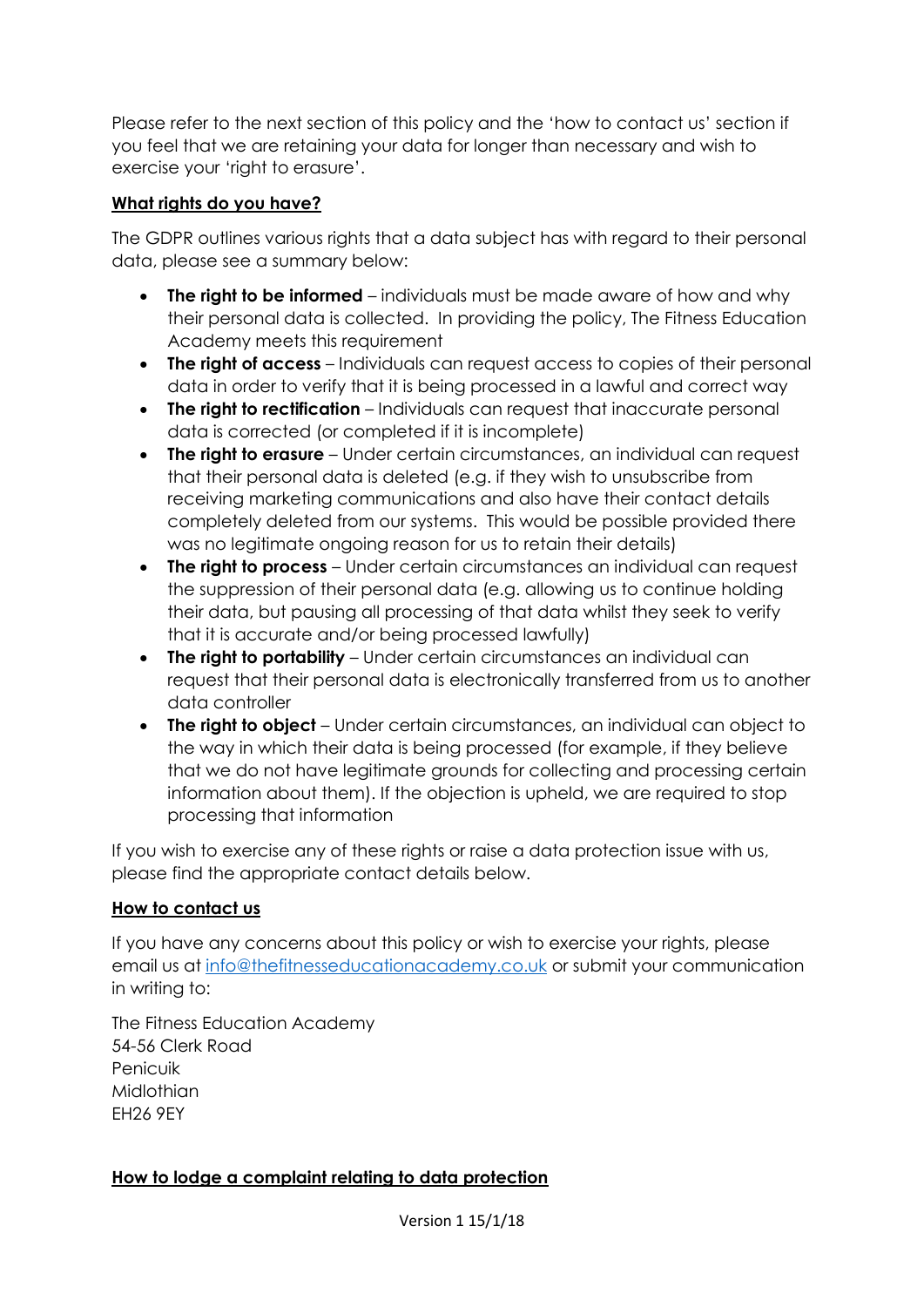Please refer to the next section of this policy and the 'how to contact us' section if you feel that we are retaining your data for longer than necessary and wish to exercise your 'right to erasure'.

### **What rights do you have?**

The GDPR outlines various rights that a data subject has with regard to their personal data, please see a summary below:

- **The right to be informed** individuals must be made aware of how and why their personal data is collected. In providing the policy, The Fitness Education Academy meets this requirement
- **The right of access** Individuals can request access to copies of their personal data in order to verify that it is being processed in a lawful and correct way
- **The right to rectification** Individuals can request that inaccurate personal data is corrected (or completed if it is incomplete)
- **The right to erasure** Under certain circumstances, an individual can request that their personal data is deleted (e.g. if they wish to unsubscribe from receiving marketing communications and also have their contact details completely deleted from our systems. This would be possible provided there was no legitimate ongoing reason for us to retain their details)
- **The right to process**  Under certain circumstances an individual can request the suppression of their personal data (e.g. allowing us to continue holding their data, but pausing all processing of that data whilst they seek to verify that it is accurate and/or being processed lawfully)
- **The right to portability**  Under certain circumstances an individual can request that their personal data is electronically transferred from us to another data controller
- **The right to object**  Under certain circumstances, an individual can object to the way in which their data is being processed (for example, if they believe that we do not have legitimate grounds for collecting and processing certain information about them). If the objection is upheld, we are required to stop processing that information

If you wish to exercise any of these rights or raise a data protection issue with us, please find the appropriate contact details below.

### **How to contact us**

If you have any concerns about this policy or wish to exercise your rights, please email us at [info@thefitnesseducationacademy.co.uk](mailto:info@thefitnesseducationacademy.co.uk) or submit your communication in writing to:

The Fitness Education Academy 54-56 Clerk Road Penicuik **Midlothian** EH26 9EY

### **How to lodge a complaint relating to data protection**